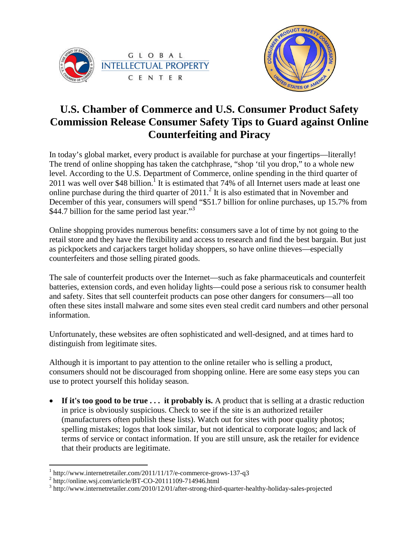



## **U.S. Chamber of Commerce and U.S. Consumer Product Safety Commission Release Consumer Safety Tips to Guard against Online Counterfeiting and Piracy**

In today's global market, every product is available for purchase at your fingertips—literally! The trend of online shopping has taken the catchphrase, "shop 'til you drop," to a whole new level. According to the U.S. Department of Commerce, online spending in the third quarter of 20[1](#page-0-0)1 was well over \$48 billion.<sup>1</sup> It is estimated that 74% of all Internet users made at least one onlinepurchase during the third quarter of  $2011$ [.](#page-0-1)<sup>2</sup> It is also estimated that in November and December of this year, consumers will spend "\$51.7 billion for online purchases, up 15.7% from \$44.7billion for the same period last year.["](#page-0-2)<sup>3</sup>

Online shopping provides numerous benefits: consumers save a lot of time by not going to the retail store and they have the flexibility and access to research and find the best bargain. But just as pickpockets and carjackers target holiday shoppers, so have online thieves—especially counterfeiters and those selling pirated goods.

The sale of counterfeit products over the Internet—such as fake pharmaceuticals and counterfeit batteries, extension cords, and even holiday lights—could pose a serious risk to consumer health and safety. Sites that sell counterfeit products can pose other dangers for consumers—all too often these sites install malware and some sites even steal credit card numbers and other personal information.

Unfortunately, these websites are often sophisticated and well-designed, and at times hard to distinguish from legitimate sites.

Although it is important to pay attention to the online retailer who is selling a product, consumers should not be discouraged from shopping online. Here are some easy steps you can use to protect yourself this holiday season.

• If it's too good to be true ... it probably is. A product that is selling at a drastic reduction in price is obviously suspicious. Check to see if the site is an authorized retailer (manufacturers often publish these lists). Watch out for sites with poor quality photos; spelling mistakes; logos that look similar, but not identical to corporate logos; and lack of terms of service or contact information. If you are still unsure, ask the retailer for evidence that their products are legitimate.

<span id="page-0-1"></span><span id="page-0-0"></span><sup>1</sup> http://www.internetretailer.com/2011/11/17/e-commerce-grows-137-q3

<sup>&</sup>lt;sup>2</sup> http://online.wsj.com/article/BT-CO-20111109-714946.html

<span id="page-0-2"></span><sup>&</sup>lt;sup>3</sup> http://www.internetretailer.com/2010/12/01/after-strong-third-quarter-healthy-holiday-sales-projected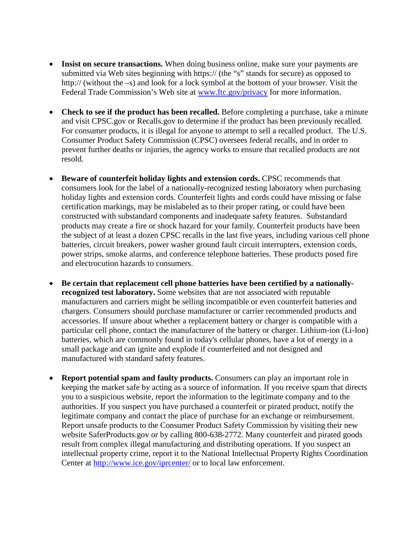- **Insist on secure transactions.** When doing business online, make sure your payments are submitted via Web sites beginning with https:// (the "s" stands for secure) as opposed to http:// (without the –s) and look for a lock symbol at the bottom of your browser. Visit the Federal Trade Commission's Web site at [www.ftc.gov/privacy](http://www.ftc.gov/privacy) for more information.
- **Check to see if the product has been recalled.** Before completing a purchase, take a minute and visit CPSC.gov or Recalls.gov to determine if the product has been previously recalled. For consumer products, it is illegal for anyone to attempt to sell a recalled product. The U.S. Consumer Product Safety Commission (CPSC) oversees federal recalls, and in order to prevent further deaths or injuries, the agency works to ensure that recalled products are not resold.
- **Beware of counterfeit holiday lights and extension cords.** CPSC recommends that consumers look for the label of a nationally-recognized testing laboratory when purchasing holiday lights and extension cords. Counterfeit lights and cords could have missing or false certification markings, may be mislabeled as to their proper rating, or could have been constructed with substandard components and inadequate safety features. Substandard products may create a fire or shock hazard for your family. Counterfeit products have been the subject of at least a dozen CPSC recalls in the last five years, including various cell phone batteries, circuit breakers, power washer ground fault circuit interrupters, extension cords, power strips, smoke alarms, and conference telephone batteries. These products posed fire and electrocution hazards to consumers.
- **Be certain that replacement cell phone batteries have been certified by a nationallyrecognized test laboratory.** Some websites that are not associated with reputable manufacturers and carriers might be selling incompatible or even counterfeit batteries and chargers. Consumers should purchase manufacturer or carrier recommended products and accessories. If unsure about whether a replacement battery or charger is compatible with a particular cell phone, contact the manufacturer of the battery or charger. Lithium-ion (Li-Ion) batteries, which are commonly found in today's cellular phones, have a lot of energy in a small package and can ignite and explode if counterfeited and not designed and manufactured with standard safety features.
- **Report potential spam and faulty products.** Consumers can play an important role in keeping the market safe by acting as a source of information. If you receive spam that directs you to a suspicious website, report the information to the legitimate company and to the authorities. If you suspect you have purchased a counterfeit or pirated product, notify the legitimate company and contact the place of purchase for an exchange or reimbursement. Report unsafe products to the Consumer Product Safety Commission by visiting their new website SaferProducts.gov or by calling 800-638-2772. Many counterfeit and pirated goods result from complex illegal manufacturing and distributing operations. If you suspect an intellectual property crime, report it to the National Intellectual Property Rights Coordination Center at <http://www.ice.gov/iprcenter/> or to local law enforcement.